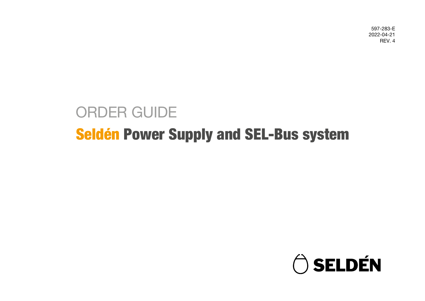597-283-E 2022-04-21 REV. 4

# Seldén Power Supply and SEL-Bus system ORDER GUIDE

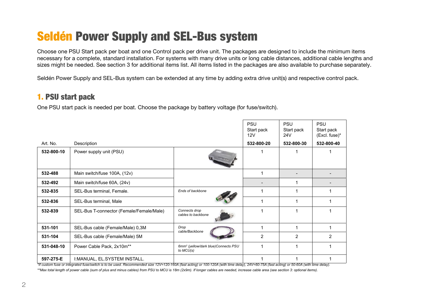## Seldén Power Supply and SEL-Bus system

Choose one PSU Start pack per boat and one Control pack per drive unit. The packages are designed to include the minimum items necessary for a complete, standard installation. For systems with many drive units or long cable distances, additional cable lengths and sizes might be needed. See section 3 for additional items list. All items listed in the packages are also available to purchase separately.

Seldén Power Supply and SEL-Bus system can be extended at any time by adding extra drive unit(s) and respective control pack.

#### 1. PSU start pack

One PSU start pack is needed per boat. Choose the package by battery voltage (for fuse/switch).

|            |                                          |                                                               | <b>PSU</b><br>Start pack<br>12V | <b>PSU</b><br>Start pack<br>24 <sub>V</sub> | <b>PSU</b><br>Start pack<br>(Excl. fuse)* |
|------------|------------------------------------------|---------------------------------------------------------------|---------------------------------|---------------------------------------------|-------------------------------------------|
| Art. No.   | Description                              |                                                               | 532-800-20                      | 532-800-30                                  | 532-800-40                                |
| 532-800-10 | Power supply unit (PSU)                  |                                                               |                                 |                                             |                                           |
| 532-488    | Main switch/fuse 100A, (12v)             |                                                               |                                 |                                             |                                           |
| 532-492    | Main switch/fuse 60A, (24v)              |                                                               |                                 |                                             |                                           |
| 532-835    | SEL-Bus terminal, Female.                | Ends of backbone                                              |                                 |                                             |                                           |
| 532-836    | SEL-Bus terminal, Male                   |                                                               |                                 |                                             |                                           |
| 532-839    | SEL-Bus T-connector (Female/Female/Male) | Connects drop<br>cables to backbone                           |                                 | 1                                           |                                           |
| 531-101    | SEL-Bus cable (Female/Male) 0,3M         | Drop<br>cable/Backbone                                        |                                 |                                             |                                           |
| 531-104    | SEL-Bus cable (Female/Male) 5M           |                                                               | $\overline{2}$                  | 2                                           | 2                                         |
| 531-048-10 | Power Cable Pack, 2xm <sup>**</sup>      | 6mm <sup>2</sup> (yellow/dark blue) Connects PSU<br>to MCU(s) |                                 |                                             |                                           |
| 597-275-E  | I: MANUAL, EL. SYSTEM INSTALL.           |                                                               |                                 |                                             |                                           |

*\*If custom fuse or integrated fuse/switch is to be used. Recommended size 12V=120-160A (fast acting) or 100-120A (with time delay), 24V=60-75A (fast acting) or 50-60A (with time delay). \*\*Max total length of power cable (sum of plus and minus cables) from PSU to MCU is 18m (2x9m). If longer cables are needed, increase cable area (see section 3: optional items).*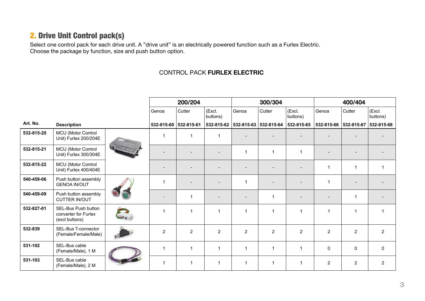#### 2. Drive Unit Control pack(s)

Select one control pack for each drive unit. A "drive unit" is an electrically powered function such as a Furlex Electric. Choose the package by function, size and push button option.

#### CONTROL PACK FURLEX ELECTRIC

|            |                                                               |  | 200/204                  |                       | 300/304                  |                                  |                | 400/404            |                  |                |                    |
|------------|---------------------------------------------------------------|--|--------------------------|-----------------------|--------------------------|----------------------------------|----------------|--------------------|------------------|----------------|--------------------|
|            |                                                               |  | Genoa                    | Cutter                | (Excl.<br>buttons)       | Genoa                            | Cutter         | (Excl.<br>buttons) | Genoa            | Cutter         | (Excl.<br>buttons) |
| Art. No.   | <b>Description</b>                                            |  |                          | 532-815-60 532-815-61 |                          | 532-815-62 532-815-63 532-815-64 |                | 532-815-65         | 532-815-66       | 532-815-67     | 532-815-68         |
| 532-815-20 | MCU (Motor Control<br>Unit) Furlex 200/204E                   |  | $\mathbf{1}$             |                       | $\mathbf{1}$             |                                  |                |                    |                  |                |                    |
| 532-815-21 | MCU (Motor Control<br>Unit) Furlex 300/304E                   |  | $\overline{\phantom{a}}$ |                       | $\overline{\phantom{a}}$ | $\mathbf 1$                      | $\mathbf{1}$   | $\overline{1}$     |                  |                |                    |
| 532-815-22 | MCU (Motor Control<br>Unit) Furlex 400/404E                   |  |                          |                       |                          |                                  |                |                    | $\overline{1}$   | $\mathbf{1}$   |                    |
| 540-459-06 | Push button assembly<br><b>GENOA IN/OUT</b>                   |  | 1                        |                       | $\overline{\phantom{0}}$ | 1                                |                |                    | $\overline{1}$   |                |                    |
| 540-459-09 | Push button assembly<br><b>CUTTER IN/OUT</b>                  |  |                          |                       | $\overline{a}$           |                                  | 1              |                    |                  | $\mathbf{1}$   |                    |
| 532-827-01 | SEL-Bus Push button<br>converter for Furlex<br>(excl buttons) |  | $\mathbf{1}$             |                       | $\mathbf{1}$             | 1                                | 1              | $\overline{1}$     | $\overline{1}$   | 1              |                    |
| 532-839    | SEL-Bus T-connector<br>(Female/Female/Male)                   |  | $\overline{2}$           | $\overline{2}$        | $\overline{2}$           | $\overline{2}$                   | $\overline{2}$ | $\overline{2}$     | $\overline{2}$   | $\overline{2}$ | $\overline{2}$     |
| 531-102    | SEL-Bus cable<br>(Female/Male), 1 M                           |  | $\mathbf{1}$             |                       | $\mathbf{1}$             | $\mathbf{1}$                     | $\mathbf{1}$   | $\overline{1}$     | $\pmb{0}$        | $\pmb{0}$      | $\mathbf 0$        |
| 531-103    | SEL-Bus cable<br>(Female/Male), 2 M                           |  | $\mathbf{1}$             | -1                    | $\mathbf{1}$             | 1                                | $\mathbf{1}$   | $\mathbf 1$        | $\boldsymbol{2}$ | $\overline{c}$ | $\overline{c}$     |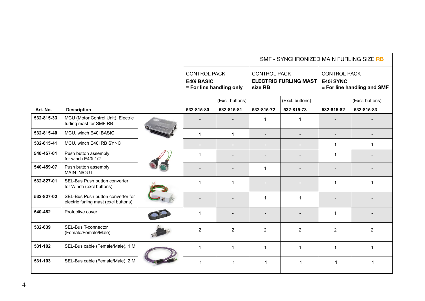|            |                                                                           |                                                                      |                 |                                | SMF - SYNCHRONIZED MAIN FURLING SIZE RB |                                                                 |                 |
|------------|---------------------------------------------------------------------------|----------------------------------------------------------------------|-----------------|--------------------------------|-----------------------------------------|-----------------------------------------------------------------|-----------------|
|            |                                                                           | <b>CONTROL PACK</b><br><b>E40i BASIC</b><br>= For line handling only |                 | <b>CONTROL PACK</b><br>size RB | <b>ELECTRIC FURLING MAST</b>            | <b>CONTROL PACK</b><br>E40i SYNC<br>= For line handling and SMF |                 |
|            |                                                                           |                                                                      | (Excl. buttons) |                                | (Excl. buttons)                         |                                                                 | (Excl. buttons) |
| Art. No.   | <b>Description</b>                                                        | 532-815-80                                                           | 532-815-81      | 532-815-72                     | 532-815-73                              | 532-815-82                                                      | 532-815-83      |
| 532-815-33 | MCU (Motor Control Unit), Electric<br>furling mast for SMF RB             |                                                                      |                 | $\mathbf{1}$                   | $\mathbf 1$                             |                                                                 |                 |
| 532-815-40 | MCU, winch E40i BASIC                                                     | $\mathbf{1}$                                                         | $\mathbf{1}$    |                                |                                         | $\overline{\phantom{0}}$                                        |                 |
| 532-815-41 | MCU, winch E40i RB SYNC                                                   | $\overline{\phantom{a}}$                                             |                 |                                |                                         | $\mathbf{1}$                                                    | $\mathbf 1$     |
| 540-457-01 | Push button assembly<br>for winch E40i 1/2                                | $\mathbf 1$                                                          |                 |                                |                                         | $\mathbf{1}$                                                    |                 |
| 540-459-07 | Push button assembly<br><b>MAIN IN/OUT</b>                                |                                                                      |                 | $\mathbf{1}$                   |                                         |                                                                 |                 |
| 532-827-01 | SEL-Bus Push button converter<br>for Winch (excl buttons)                 | $\mathbf{1}$                                                         | $\mathbf{1}$    |                                |                                         | $\mathbf{1}$                                                    | $\mathbf 1$     |
| 532-827-02 | SEL-Bus Push button converter for<br>electric furling mast (excl buttons) |                                                                      |                 | $\mathbf{1}$                   | $\mathbf 1$                             |                                                                 |                 |
| 540-482    | Protective cover                                                          | 1                                                                    |                 |                                |                                         | 1                                                               |                 |
| 532-839    | SEL-Bus T-connector<br>(Female/Female/Male)                               | $\overline{2}$                                                       | 2               | $\overline{2}$                 | $\overline{2}$                          | $\overline{2}$                                                  | $\overline{2}$  |
| 531-102    | SEL-Bus cable (Female/Male), 1 M                                          | $\mathbf{1}$                                                         | $\mathbf{1}$    | $\mathbf{1}$                   | $\mathbf{1}$                            | $\mathbf{1}$                                                    | $\mathbf{1}$    |
| 531-103    | SEL-Bus cable (Female/Male), 2 M                                          | $\mathbf{1}$                                                         | $\mathbf{1}$    | $\mathbf{1}$                   | 1                                       | $\mathbf{1}$                                                    | -1              |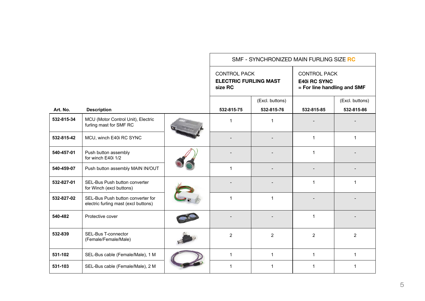|            |                                                                           | SMF - SYNCHRONIZED MAIN FURLING SIZE RC                        |                 |                                                                           |                 |  |
|------------|---------------------------------------------------------------------------|----------------------------------------------------------------|-----------------|---------------------------------------------------------------------------|-----------------|--|
|            |                                                                           | <b>CONTROL PACK</b><br><b>ELECTRIC FURLING MAST</b><br>size RC |                 | <b>CONTROL PACK</b><br><b>E40i RC SYNC</b><br>= For line handling and SMF |                 |  |
|            |                                                                           |                                                                | (Excl. buttons) |                                                                           | (Excl. buttons) |  |
| Art. No.   | <b>Description</b>                                                        | 532-815-75                                                     | 532-815-76      | 532-815-85                                                                | 532-815-86      |  |
| 532-815-34 | MCU (Motor Control Unit), Electric<br>furling mast for SMF RC             | $\mathbf 1$                                                    | 1               |                                                                           |                 |  |
| 532-815-42 | MCU, winch E40i RC SYNC                                                   |                                                                |                 | $\mathbf 1$                                                               | $\mathbf{1}$    |  |
| 540-457-01 | Push button assembly<br>for winch E40i 1/2                                |                                                                |                 | $\mathbf{1}$                                                              |                 |  |
| 540-459-07 | Push button assembly MAIN IN/OUT                                          | $\mathbf 1$                                                    |                 |                                                                           |                 |  |
| 532-827-01 | SEL-Bus Push button converter<br>for Winch (excl buttons)                 |                                                                |                 | $\mathbf 1$                                                               | $\mathbf{1}$    |  |
| 532-827-02 | SEL-Bus Push button converter for<br>electric furling mast (excl buttons) | 1                                                              | $\mathbf{1}$    |                                                                           |                 |  |
| 540-482    | Protective cover                                                          |                                                                |                 | $\mathbf 1$                                                               |                 |  |
| 532-839    | SEL-Bus T-connector<br>(Female/Female/Male)                               | 2                                                              | $\overline{2}$  | 2                                                                         | $\overline{2}$  |  |
| 531-102    | SEL-Bus cable (Female/Male), 1 M                                          | $\mathbf{1}$                                                   | $\mathbf{1}$    | $\mathbf{1}$                                                              | $\mathbf{1}$    |  |
| 531-103    | SEL-Bus cable (Female/Male), 2 M                                          | 1                                                              | 1               | 1                                                                         | 1               |  |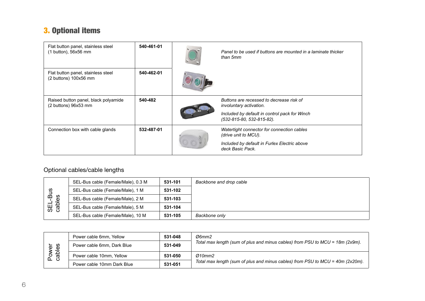### 3. Optional items

| Flat button panel, stainless steel<br>$(1 \text{ button})$ , 56x56 mm | 540-461-01 | Panel to be used if buttons are mounted in a laminate thicker<br>than 5mm                                                                                |
|-----------------------------------------------------------------------|------------|----------------------------------------------------------------------------------------------------------------------------------------------------------|
| Flat button panel, stainless steel<br>$(2 \text{ buttons})$ 100x56 mm | 540-462-01 |                                                                                                                                                          |
| Raised button panel, black polyamide<br>(2 buttons) 96x53 mm          | 540-482    | Buttons are recessed to decrease risk of<br><i>involuntary activation.</i><br>Included by default in control pack for Winch<br>(532-815-80, 532-815-82). |
| Connection box with cable glands                                      | 532-487-01 | Watertight connector for connection cables<br>(drive unit to MCU).<br>Included by default in Furlex Electric above<br>deck Basic Pack.                   |

#### Optional cables/cable lengths

| ဖာ<br>SEL-BI<br>cables | SEL-Bus cable (Female/Male), 0.3 M | 531-101 | Backbone and drop cable |
|------------------------|------------------------------------|---------|-------------------------|
|                        | SEL-Bus cable (Female/Male), 1 M   | 531-102 |                         |
|                        | SEL-Bus cable (Female/Male), 2 M   | 531-103 |                         |
|                        | SEL-Bus cable (Female/Male), 5 M   | 531-104 |                         |
|                        | SEL-Bus cable (Female/Male), 10 M  | 531-105 | Backbone only           |

| Power<br>cables | Power cable 6mm, Yellow    | 531-048 | Ø6mm2                                                                             |
|-----------------|----------------------------|---------|-----------------------------------------------------------------------------------|
|                 | Power cable 6mm, Dark Blue | 531-049 | Total max length (sum of plus and minus cables) from PSU to $MCU = 18m$ (2x9m).   |
|                 | Power cable 10mm, Yellow   | 531-050 | Ø10mm2                                                                            |
|                 | Power cable 10mm Dark Blue | 531-051 | Total max length (sum of plus and minus cables) from PSU to $MCU = 40m (2x20m)$ . |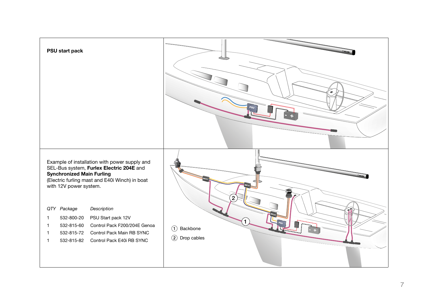